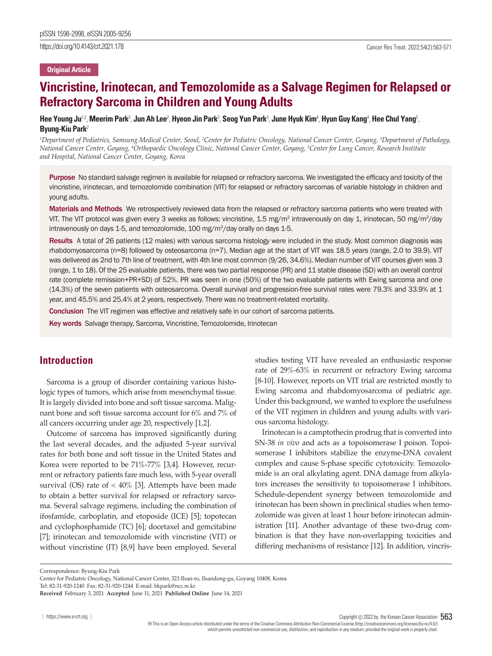#### **Original Article**

# **Vincristine, Irinotecan, and Temozolomide as a Salvage Regimen for Relapsed or Refractory Sarcoma in Children and Young Adults**

Hee Young Ju<sup>12</sup>, Meerim Park<sup>2</sup>, Jun Ah Lee<sup>2</sup>, Hyeon Jin Park<sup>2</sup>, Seog Yun Park<sup>3</sup>, June Hyuk Kim<sup>4</sup>, Hyun Guy Kang<sup>4</sup>, Hee Chul Yang<sup>5</sup>, **Byung-Kiu Park**<sup>2</sup>

<sup>1</sup>Department of Pediatrics, Samsung Medical Center, Seoul, <sup>2</sup>Center for Pediatric Oncology, National Cancer Center, Goyang, <sup>3</sup>Department of Pathology, *National Cancer Center, Goyang, 4 Orthopaedic Oncology Clinic, National Cancer Center, Goyang, 5 Center for Lung Cancer, Research Institute and Hospital, National Cancer Center, Goyang, Korea* 

Purpose No standard salvage regimen is available for relapsed or refractory sarcoma. We investigated the efficacy and toxicity of the vincristine, irinotecan, and temozolomide combination (VIT) for relapsed or refractory sarcomas of variable histology in children and young adults.

Materials and Methods We retrospectively reviewed data from the relapsed or refractory sarcoma patients who were treated with VIT. The VIT protocol was given every 3 weeks as follows: vincristine, 1.5 mg/m<sup>2</sup> intravenously on day 1, irinotecan, 50 mg/m<sup>2</sup>/day intravenously on days 1-5, and temozolomide, 100 mg/m $^2$ /day orally on days 1-5.

Results A total of 26 patients (12 males) with various sarcoma histology were included in the study. Most common diagnosis was rhabdomyosarcoma (n=8) followed by osteosarcoma (n=7). Median age at the start of VIT was 18.5 years (range, 2.0 to 39.9). VIT was delivered as 2nd to 7th line of treatment, with 4th line most common (9/26, 34.6%). Median number of VIT courses given was 3 (range, 1 to 18). Of the 25 evaluable patients, there was two partial response (PR) and 11 stable disease (SD) with an overall control rate (complete remission+PR+SD) of 52%. PR was seen in one (50%) of the two evaluable patients with Ewing sarcoma and one (14.3%) of the seven patients with osteosarcoma. Overall survival and progression-free survival rates were 79.3% and 33.9% at 1 year, and 45.5% and 25.4% at 2 years, respectively. There was no treatment-related mortality.

Conclusion The VIT regimen was effective and relatively safe in our cohort of sarcoma patients.

Key words Salvage therapy, Sarcoma, Vincristine, Temozolomide, Irinotecan

### **Introduction**

Sarcoma is a group of disorder containing various histologic types of tumors, which arise from mesenchymal tissue. It is largely divided into bone and soft tissue sarcoma. Malignant bone and soft tissue sarcoma account for 6% and 7% of all cancers occurring under age 20, respectively [1,2].

Outcome of sarcoma has improved significantly during the last several decades, and the adjusted 5-year survival rates for both bone and soft tissue in the United States and Korea were reported to be 71%-77% [3,4]. However, recurrent or refractory patients fare much less, with 5-year overall survival (OS) rate of  $< 40\%$  [3]. Attempts have been made to obtain a better survival for relapsed or refractory sarcoma. Several salvage regimens, including the combination of ifosfamide, carboplatin, and etoposide (ICE) [5]; topotecan and cyclophosphamide (TC) [6]; docetaxel and gemcitabine [7]; irinotecan and temozolomide with vincristine (VIT) or without vincristine (IT) [8,9] have been employed. Several

studies testing VIT have revealed an enthusiastic response rate of 29%-63% in recurrent or refractory Ewing sarcoma [8-10]. However, reports on VIT trial are restricted mostly to Ewing sarcoma and rhabdomyosarcoma of pediatric age. Under this background, we wanted to explore the usefulness of the VIT regimen in children and young adults with various sarcoma histology.

Irinotecan is a camptothecin prodrug that is converted into SN-38 *in vivo* and acts as a topoisomerase I poison. Topoisomerase I inhibitors stabilize the enzyme-DNA covalent complex and cause S-phase specific cytotoxicity. Temozolomide is an oral alkylating agent. DNA damage from alkylators increases the sensitivity to topoisomerase I inhibitors. Schedule-dependent synergy between temozolomide and irinotecan has been shown in preclinical studies when temozolomide was given at least 1 hour before irinotecan administration [11]. Another advantage of these two-drug combination is that they have non-overlapping toxicities and differing mechanisms of resistance [12]. In addition, vincris-

Correspondence: Byung-Kiu Park

Copyright  $©$  2022 by the Korean Cancer Association 563 This is an Open-Access article distributed under the terms of the Creative Commons Attribution Non-Commercial License (http://creativecommons.org/licenses/by-nc/4.0/)

Center for Pediatric Oncology, National Cancer Center, 323 Ilsan-ro, Ilsandong-gu, Goyang 10408, Korea

Tel: 82-31-920-1240 Fax: 82-31-920-1244 E-mail: bkpark@ncc.re.kr **Received** February 3, 2021 **Accepted** June 11, 2021 **Published Online** June 14, 2021

which permits unrestricted non-commercial use, distribution, and reproduction in any medium, provided the original work is properly cited.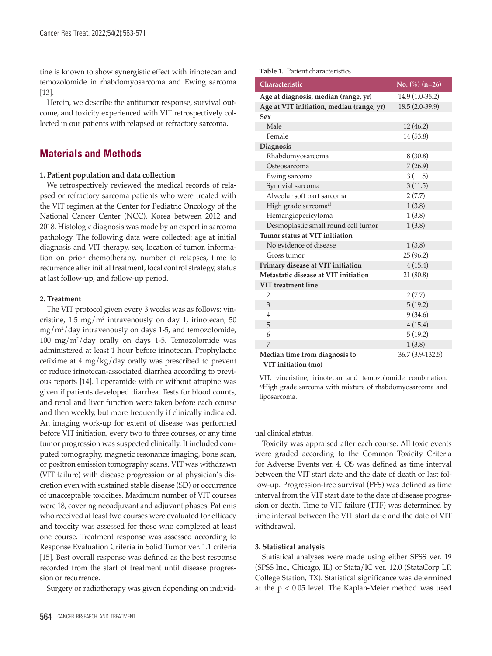tine is known to show synergistic effect with irinotecan and temozolomide in rhabdomyosarcoma and Ewing sarcoma [13].

Herein, we describe the antitumor response, survival outcome, and toxicity experienced with VIT retrospectively collected in our patients with relapsed or refractory sarcoma.

# **Materials and Methods**

#### **1. Patient population and data collection**

We retrospectively reviewed the medical records of relapsed or refractory sarcoma patients who were treated with the VIT regimen at the Center for Pediatric Oncology of the National Cancer Center (NCC), Korea between 2012 and 2018. Histologic diagnosis was made by an expert in sarcoma pathology. The following data were collected: age at initial diagnosis and VIT therapy, sex, location of tumor, information on prior chemotherapy, number of relapses, time to recurrence after initial treatment, local control strategy, status at last follow-up, and follow-up period.

#### **2. Treatment**

The VIT protocol given every 3 weeks was as follows: vincristine,  $1.5 \text{ mg/m}^2$  intravenously on day 1, irinotecan,  $50 \text{ m}$ mg/m2 /day intravenously on days 1-5, and temozolomide, 100 mg/m2 /day orally on days 1-5. Temozolomide was administered at least 1 hour before irinotecan. Prophylactic cefixime at 4 mg/kg/day orally was prescribed to prevent or reduce irinotecan-associated diarrhea according to previous reports [14]. Loperamide with or without atropine was given if patients developed diarrhea. Tests for blood counts, and renal and liver function were taken before each course and then weekly, but more frequently if clinically indicated. An imaging work-up for extent of disease was performed before VIT initiation, every two to three courses, or any time tumor progression was suspected clinically. It included computed tomography, magnetic resonance imaging, bone scan, or positron emission tomography scans. VIT was withdrawn (VIT failure) with disease progression or at physician's discretion even with sustained stable disease (SD) or occurrence of unacceptable toxicities. Maximum number of VIT courses were 18, covering neoadjuvant and adjuvant phases. Patients who received at least two courses were evaluated for efficacy and toxicity was assessed for those who completed at least one course. Treatment response was assessed according to Response Evaluation Criteria in Solid Tumor ver. 1.1 criteria [15]. Best overall response was defined as the best response recorded from the start of treatment until disease progression or recurrence.

Surgery or radiotherapy was given depending on individ-

#### **Table 1.** Patient characteristics

| Characteristic                            | No. $(\%)$ (n=26) |
|-------------------------------------------|-------------------|
| Age at diagnosis, median (range, yr)      | $14.9(1.0-35.2)$  |
| Age at VIT initiation, median (range, yr) | 18.5 (2.0-39.9)   |
| Sex                                       |                   |
| Male                                      | 12(46.2)          |
| Female                                    | 14 (53.8)         |
| <b>Diagnosis</b>                          |                   |
| Rhabdomyosarcoma                          | 8(30.8)           |
| Osteosarcoma                              | 7(26.9)           |
| Ewing sarcoma                             | 3(11.5)           |
| Synovial sarcoma                          | 3(11.5)           |
| Alveolar soft part sarcoma                | 2(7.7)            |
| High grade sarcoma <sup>a)</sup>          | 1(3.8)            |
| Hemangiopericytoma                        | 1(3.8)            |
| Desmoplastic small round cell tumor       | 1(3.8)            |
| Tumor status at VIT initiation            |                   |
| No evidence of disease                    | 1(3.8)            |
| Gross tumor                               | 25 (96.2)         |
| Primary disease at VIT initiation         | 4(15.4)           |
| Metastatic disease at VIT initiation      | 21(80.8)          |
| <b>VIT</b> treatment line                 |                   |
| $\overline{2}$                            | 2(7.7)            |
| 3                                         | 5(19.2)           |
| $\overline{4}$                            | 9(34.6)           |
| 5                                         | 4(15.4)           |
| 6                                         | 5(19.2)           |
| 7                                         | 1(3.8)            |
| Median time from diagnosis to             | 36.7 (3.9-132.5)  |
| VIT initiation (mo)                       |                   |

VIT, vincristine, irinotecan and temozolomide combination. a)High grade sarcoma with mixture of rhabdomyosarcoma and liposarcoma.

#### ual clinical status.

Toxicity was appraised after each course. All toxic events were graded according to the Common Toxicity Criteria for Adverse Events ver. 4. OS was defined as time interval between the VIT start date and the date of death or last follow-up. Progression-free survival (PFS) was defined as time interval from the VIT start date to the date of disease progression or death. Time to VIT failure (TTF) was determined by time interval between the VIT start date and the date of VIT withdrawal.

#### **3. Statistical analysis**

Statistical analyses were made using either SPSS ver. 19 (SPSS Inc., Chicago, IL) or Stata/IC ver. 12.0 (StataCorp LP, College Station, TX). Statistical significance was determined at the p < 0.05 level. The Kaplan-Meier method was used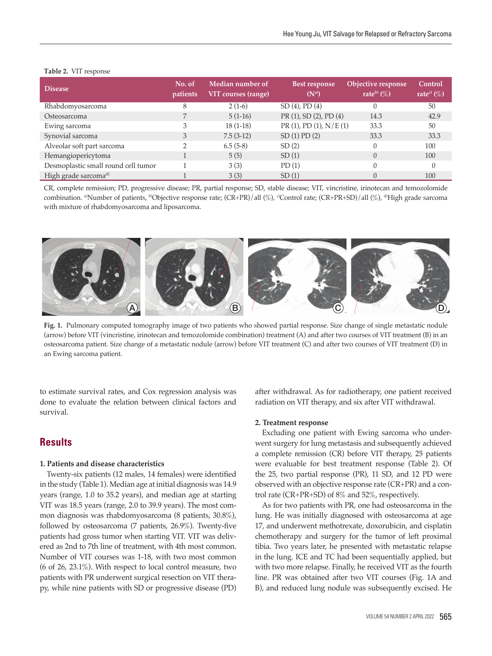| <b>Disease</b>                      | No. of<br>patients | Median number of<br>VIT courses (range) | <b>Best response</b><br>$(N^a)$ | Objective response<br>rate <sup>b</sup> $(\%)$ | Control<br>rate <sup>c)</sup> $(\%)$ |
|-------------------------------------|--------------------|-----------------------------------------|---------------------------------|------------------------------------------------|--------------------------------------|
| Rhabdomyosarcoma                    | 8                  | $2(1-6)$                                | $SD(4)$ , $PD(4)$               |                                                | 50                                   |
| Osteosarcoma                        |                    | $5(1-16)$                               | PR (1), SD (2), PD (4)          | 14.3                                           | 42.9                                 |
| Ewing sarcoma                       | 3                  | $18(1-18)$                              | $PR(1)$ , $PD(1)$ , $N/E(1)$    | 33.3                                           | 50                                   |
| Synovial sarcoma                    | 3                  | $7.5(3-12)$                             | $SD(1)$ $PD(2)$                 | 33.3                                           | 33.3                                 |
| Alveolar soft part sarcoma          |                    | $6.5(5-8)$                              | SD(2)                           |                                                | 100                                  |
| Hemangiopericytoma                  |                    | 5(5)                                    | SD(1)                           | $\Omega$                                       | 100                                  |
| Desmoplastic small round cell tumor |                    | 3(3)                                    | PD(1)                           |                                                |                                      |
| High grade sarcoma <sup>d)</sup>    |                    | 3(3)                                    | SD(1)                           |                                                | 100                                  |

#### **Table 2.** VIT response

CR, complete remission; PD, progressive disease; PR, partial response; SD, stable disease; VIT, vincristine, irinotecan and temozolomide combination. <sup>a)</sup>Number of patients, <sup>b)</sup>Objective response rate; (CR+PR)/all (%), <sup>o</sup>Control rate; (CR+PR+SD)/all (%), <sup>a)</sup>High grade sarcoma with mixture of rhabdomyosarcoma and liposarcoma.



**Fig. 1.** Pulmonary computed tomography image of two patients who showed partial response. Size change of single metastatic nodule (arrow) before VIT (vincristine, irinotecan and temozolomide combination) treatment (A) and after two courses of VIT treatment (B) in an osteosarcoma patient. Size change of a metastatic nodule (arrow) before VIT treatment (C) and after two courses of VIT treatment (D) in an Ewing sarcoma patient.

to estimate survival rates, and Cox regression analysis was done to evaluate the relation between clinical factors and survival.

# **Results**

#### **1. Patients and disease characteristics**

Twenty-six patients (12 males, 14 females) were identified in the study (Table 1). Median age at initial diagnosis was 14.9 years (range, 1.0 to 35.2 years), and median age at starting VIT was 18.5 years (range, 2.0 to 39.9 years). The most common diagnosis was rhabdomyosarcoma (8 patients, 30.8%), followed by osteosarcoma (7 patients, 26.9%). Twenty-five patients had gross tumor when starting VIT. VIT was delivered as 2nd to 7th line of treatment, with 4th most common. Number of VIT courses was 1-18, with two most common (6 of 26, 23.1%). With respect to local control measure, two patients with PR underwent surgical resection on VIT therapy, while nine patients with SD or progressive disease (PD)

after withdrawal. As for radiotherapy, one patient received radiation on VIT therapy, and six after VIT withdrawal.

#### **2. Treatment response**

Excluding one patient with Ewing sarcoma who underwent surgery for lung metastasis and subsequently achieved a complete remission (CR) before VIT therapy, 25 patients were evaluable for best treatment response (Table 2). Of the 25, two partial response (PR), 11 SD, and 12 PD were observed with an objective response rate (CR+PR) and a control rate (CR+PR+SD) of 8% and 52%, respectively.

As for two patients with PR, one had osteosarcoma in the lung. He was initially diagnosed with osteosarcoma at age 17, and underwent methotrexate, doxorubicin, and cisplatin chemotherapy and surgery for the tumor of left proximal tibia. Two years later, he presented with metastatic relapse in the lung. ICE and TC had been sequentially applied, but with two more relapse. Finally, he received VIT as the fourth line. PR was obtained after two VIT courses (Fig. 1A and B), and reduced lung nodule was subsequently excised. He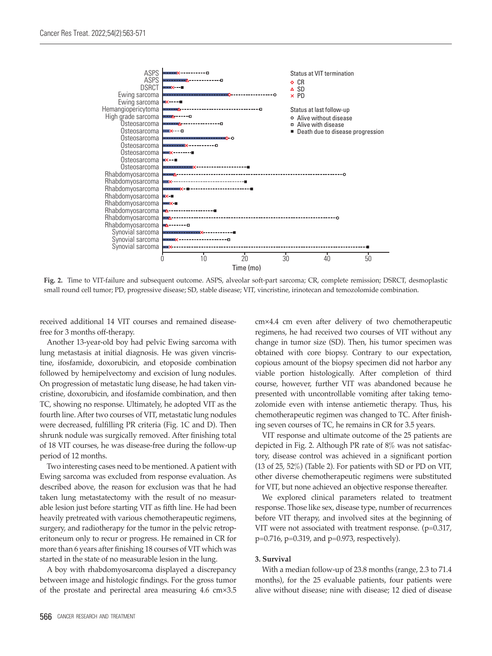

**Fig. 2.** Time to VIT-failure and subsequent outcome. ASPS, alveolar soft-part sarcoma; CR, complete remission; DSRCT, desmoplastic small round cell tumor; PD, progressive disease; SD, stable disease; VIT, vincristine, irinotecan and temozolomide combination.

received additional 14 VIT courses and remained diseasefree for 3 months off-therapy.

Another 13-year-old boy had pelvic Ewing sarcoma with lung metastasis at initial diagnosis. He was given vincristine, ifosfamide, doxorubicin, and etoposide combination followed by hemipelvectomy and excision of lung nodules. On progression of metastatic lung disease, he had taken vincristine, doxorubicin, and ifosfamide combination, and then TC, showing no response. Ultimately, he adopted VIT as the fourth line. After two courses of VIT, metastatic lung nodules were decreased, fulfilling PR criteria (Fig. 1C and D). Then shrunk nodule was surgically removed. After finishing total of 18 VIT courses, he was disease-free during the follow-up period of 12 months.

Two interesting cases need to be mentioned. A patient with Ewing sarcoma was excluded from response evaluation. As described above, the reason for exclusion was that he had taken lung metastatectomy with the result of no measurable lesion just before starting VIT as fifth line. He had been heavily pretreated with various chemotherapeutic regimens, surgery, and radiotherapy for the tumor in the pelvic retroperitoneum only to recur or progress. He remained in CR for more than 6 years after finishing 18 courses of VIT which was started in the state of no measurable lesion in the lung.

A boy with rhabdomyosarcoma displayed a discrepancy between image and histologic findings. For the gross tumor of the prostate and perirectal area measuring 4.6 cm×3.5

cm×4.4 cm even after delivery of two chemotherapeutic regimens, he had received two courses of VIT without any change in tumor size (SD). Then, his tumor specimen was obtained with core biopsy. Contrary to our expectation, copious amount of the biopsy specimen did not harbor any viable portion histologically. After completion of third course, however, further VIT was abandoned because he presented with uncontrollable vomiting after taking temozolomide even with intense antiemetic therapy. Thus, his chemotherapeutic regimen was changed to TC. After finishing seven courses of TC, he remains in CR for 3.5 years.

VIT response and ultimate outcome of the 25 patients are depicted in Fig. 2. Although PR rate of 8% was not satisfactory, disease control was achieved in a significant portion (13 of 25, 52%) (Table 2). For patients with SD or PD on VIT, other diverse chemotherapeutic regimens were substituted for VIT, but none achieved an objective response thereafter.

We explored clinical parameters related to treatment response. Those like sex, disease type, number of recurrences before VIT therapy, and involved sites at the beginning of VIT were not associated with treatment response.  $(p=0.317, p=0.317)$ p=0.716, p=0.319, and p=0.973, respectively).

#### **3. Survival**

With a median follow-up of 23.8 months (range, 2.3 to 71.4 months), for the 25 evaluable patients, four patients were alive without disease; nine with disease; 12 died of disease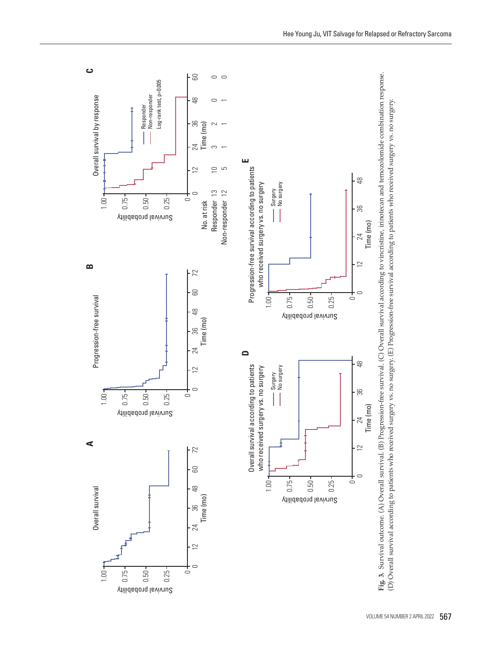

Survival probability

0.50

0.25

0.75

1.00

금

 $\subset$ 

Survival probability

0.50

0.25

Overall survival

Overall survival

**A**

Progression-free survival

Progression-free survival

**B**

Overall survival by response

Overall survival by response

 $1.00 +$ 

<u>ت</u>

1.00

 $1.00 +$ 

0.75

Time (mo)

 $\frac{8}{48}$ 

န္တ

24

 $\overline{2}$ 

 $\subset$ 

 $\circ$ 



VOLUME 54 NUMBER 2 APRIL 2022 567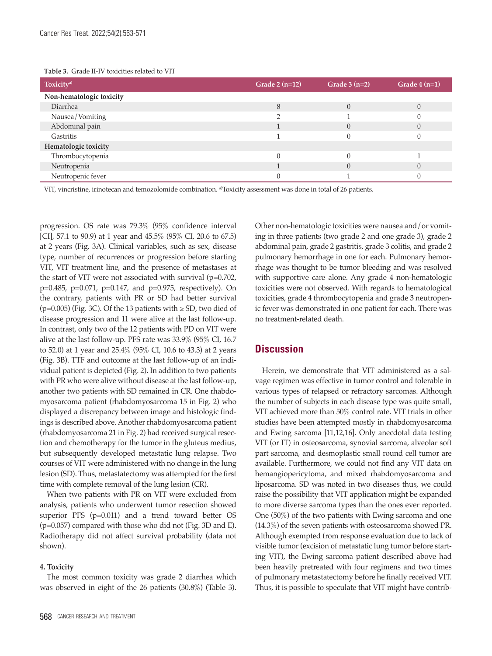| Toxicity <sup>a)</sup>   | Grade $2(n=12)$ | Grade $3(n=2)$ | Grade $4(n=1)$ |
|--------------------------|-----------------|----------------|----------------|
| Non-hematologic toxicity |                 |                |                |
| Diarrhea                 |                 |                |                |
| Nausea/Vomiting          |                 |                |                |
| Abdominal pain           |                 |                |                |
| Gastritis                |                 |                |                |
| Hematologic toxicity     |                 |                |                |
| Thrombocytopenia         |                 |                |                |
| Neutropenia              |                 |                |                |
| Neutropenic fever        |                 |                |                |

VIT, vincristine, irinotecan and temozolomide combination. <sup>a</sup>Toxicity assessment was done in total of 26 patients.

progression. OS rate was 79.3% (95% confidence interval [CI], 57.1 to 90.9) at 1 year and 45.5% (95% CI, 20.6 to 67.5) at 2 years (Fig. 3A). Clinical variables, such as sex, disease type, number of recurrences or progression before starting VIT, VIT treatment line, and the presence of metastases at the start of VIT were not associated with survival (p=0.702, p=0.485, p=0.071, p=0.147, and p=0.975, respectively). On the contrary, patients with PR or SD had better survival (p=0.005) (Fig. 3C). Of the 13 patients with  $\geq$  SD, two died of disease progression and 11 were alive at the last follow-up. In contrast, only two of the 12 patients with PD on VIT were alive at the last follow-up. PFS rate was 33.9% (95% CI, 16.7 to 52.0) at 1 year and 25.4% (95% CI, 10.6 to 43.3) at 2 years (Fig. 3B). TTF and outcome at the last follow-up of an individual patient is depicted (Fig. 2). In addition to two patients with PR who were alive without disease at the last follow-up, another two patients with SD remained in CR. One rhabdomyosarcoma patient (rhabdomyosarcoma 15 in Fig. 2) who displayed a discrepancy between image and histologic findings is described above. Another rhabdomyosarcoma patient (rhabdomyosarcoma 21 in Fig. 2) had received surgical resection and chemotherapy for the tumor in the gluteus medius, but subsequently developed metastatic lung relapse. Two courses of VIT were administered with no change in the lung lesion (SD). Thus, metastatectomy was attempted for the first time with complete removal of the lung lesion (CR).

When two patients with PR on VIT were excluded from analysis, patients who underwent tumor resection showed superior PFS (p=0.011) and a trend toward better OS (p=0.057) compared with those who did not (Fig. 3D and E). Radiotherapy did not affect survival probability (data not shown).

#### **4. Toxicity**

The most common toxicity was grade 2 diarrhea which was observed in eight of the 26 patients (30.8%) (Table 3).

Other non-hematologic toxicities were nausea and/or vomiting in three patients (two grade 2 and one grade 3), grade 2 abdominal pain, grade 2 gastritis, grade 3 colitis, and grade 2 pulmonary hemorrhage in one for each. Pulmonary hemorrhage was thought to be tumor bleeding and was resolved with supportive care alone. Any grade 4 non-hematologic toxicities were not observed. With regards to hematological toxicities, grade 4 thrombocytopenia and grade 3 neutropenic fever was demonstrated in one patient for each. There was no treatment-related death.

# **Discussion**

Herein, we demonstrate that VIT administered as a salvage regimen was effective in tumor control and tolerable in various types of relapsed or refractory sarcomas. Although the number of subjects in each disease type was quite small, VIT achieved more than 50% control rate. VIT trials in other studies have been attempted mostly in rhabdomyosarcoma and Ewing sarcoma [11,12,16]. Only anecdotal data testing VIT (or IT) in osteosarcoma, synovial sarcoma, alveolar soft part sarcoma, and desmoplastic small round cell tumor are available. Furthermore, we could not find any VIT data on hemangiopericytoma, and mixed rhabdomyosarcoma and liposarcoma. SD was noted in two diseases thus, we could raise the possibility that VIT application might be expanded to more diverse sarcoma types than the ones ever reported. One (50%) of the two patients with Ewing sarcoma and one (14.3%) of the seven patients with osteosarcoma showed PR. Although exempted from response evaluation due to lack of visible tumor (excision of metastatic lung tumor before starting VIT), the Ewing sarcoma patient described above had been heavily pretreated with four regimens and two times of pulmonary metastatectomy before he finally received VIT. Thus, it is possible to speculate that VIT might have contrib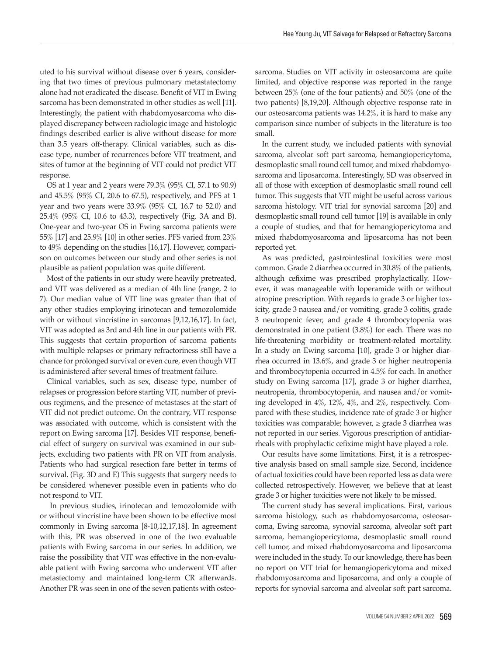uted to his survival without disease over 6 years, considering that two times of previous pulmonary metastatectomy alone had not eradicated the disease. Benefit of VIT in Ewing sarcoma has been demonstrated in other studies as well [11]. Interestingly, the patient with rhabdomyosarcoma who displayed discrepancy between radiologic image and histologic findings described earlier is alive without disease for more than 3.5 years off-therapy. Clinical variables, such as disease type, number of recurrences before VIT treatment, and sites of tumor at the beginning of VIT could not predict VIT response.

OS at 1 year and 2 years were 79.3% (95% CI, 57.1 to 90.9) and 45.5% (95% CI, 20.6 to 67.5), respectively, and PFS at 1 year and two years were 33.9% (95% CI, 16.7 to 52.0) and 25.4% (95% CI, 10.6 to 43.3), respectively (Fig. 3A and B). One-year and two-year OS in Ewing sarcoma patients were 55% [17] and 25.9% [10] in other series. PFS varied from 23% to 49% depending on the studies [16,17]. However, comparison on outcomes between our study and other series is not plausible as patient population was quite different.

Most of the patients in our study were heavily pretreated, and VIT was delivered as a median of 4th line (range, 2 to 7). Our median value of VIT line was greater than that of any other studies employing irinotecan and temozolomide with or without vincristine in sarcomas [9,12,16,17]. In fact, VIT was adopted as 3rd and 4th line in our patients with PR. This suggests that certain proportion of sarcoma patients with multiple relapses or primary refractoriness still have a chance for prolonged survival or even cure, even though VIT is administered after several times of treatment failure.

Clinical variables, such as sex, disease type, number of relapses or progression before starting VIT, number of previous regimens, and the presence of metastases at the start of VIT did not predict outcome. On the contrary, VIT response was associated with outcome, which is consistent with the report on Ewing sarcoma [17]. Besides VIT response, beneficial effect of surgery on survival was examined in our subjects, excluding two patients with PR on VIT from analysis. Patients who had surgical resection fare better in terms of survival. (Fig. 3D and E) This suggests that surgery needs to be considered whenever possible even in patients who do not respond to VIT.

 In previous studies, irinotecan and temozolomide with or without vincristine have been shown to be effective most commonly in Ewing sarcoma [8-10,12,17,18]. In agreement with this, PR was observed in one of the two evaluable patients with Ewing sarcoma in our series. In addition, we raise the possibility that VIT was effective in the non-evaluable patient with Ewing sarcoma who underwent VIT after metastectomy and maintained long-term CR afterwards. Another PR was seen in one of the seven patients with osteosarcoma. Studies on VIT activity in osteosarcoma are quite limited, and objective response was reported in the range between 25% (one of the four patients) and 50% (one of the two patients) [8,19,20]. Although objective response rate in our osteosarcoma patients was 14.2%, it is hard to make any comparison since number of subjects in the literature is too small.

In the current study, we included patients with synovial sarcoma, alveolar soft part sarcoma, hemangiopericytoma, desmoplastic small round cell tumor, and mixed rhabdomyosarcoma and liposarcoma. Interestingly, SD was observed in all of those with exception of desmoplastic small round cell tumor. This suggests that VIT might be useful across various sarcoma histology. VIT trial for synovial sarcoma [20] and desmoplastic small round cell tumor [19] is available in only a couple of studies, and that for hemangiopericytoma and mixed rhabdomyosarcoma and liposarcoma has not been reported yet.

As was predicted, gastrointestinal toxicities were most common. Grade 2 diarrhea occurred in 30.8% of the patients, although cefixime was prescribed prophylactically. However, it was manageable with loperamide with or without atropine prescription. With regards to grade 3 or higher toxicity, grade 3 nausea and/or vomiting, grade 3 colitis, grade 3 neutropenic fever, and grade 4 thrombocytopenia was demonstrated in one patient (3.8%) for each. There was no life-threatening morbidity or treatment-related mortality. In a study on Ewing sarcoma [10], grade 3 or higher diarrhea occurred in 13.6%, and grade 3 or higher neutropenia and thrombocytopenia occurred in 4.5% for each. In another study on Ewing sarcoma [17], grade 3 or higher diarrhea, neutropenia, thrombocytopenia, and nausea and/or vomiting developed in 4%, 12%, 4%, and 2%, respectively. Compared with these studies, incidence rate of grade 3 or higher toxicities was comparable; however,  $\ge$  grade 3 diarrhea was not reported in our series. Vigorous prescription of antidiarrheals with prophylactic cefixime might have played a role.

Our results have some limitations. First, it is a retrospective analysis based on small sample size. Second, incidence of actual toxicities could have been reported less as data were collected retrospectively. However, we believe that at least grade 3 or higher toxicities were not likely to be missed.

The current study has several implications. First, various sarcoma histology, such as rhabdomyosarcoma, osteosarcoma, Ewing sarcoma, synovial sarcoma, alveolar soft part sarcoma, hemangiopericytoma, desmoplastic small round cell tumor, and mixed rhabdomyosarcoma and liposarcoma were included in the study. To our knowledge, there has been no report on VIT trial for hemangiopericytoma and mixed rhabdomyosarcoma and liposarcoma, and only a couple of reports for synovial sarcoma and alveolar soft part sarcoma.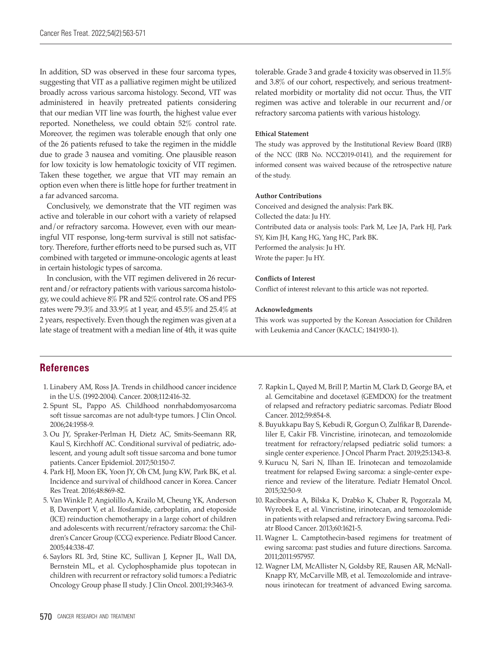In addition, SD was observed in these four sarcoma types, suggesting that VIT as a palliative regimen might be utilized broadly across various sarcoma histology. Second, VIT was administered in heavily pretreated patients considering that our median VIT line was fourth, the highest value ever reported. Nonetheless, we could obtain 52% control rate. Moreover, the regimen was tolerable enough that only one of the 26 patients refused to take the regimen in the middle due to grade 3 nausea and vomiting. One plausible reason for low toxicity is low hematologic toxicity of VIT regimen. Taken these together, we argue that VIT may remain an option even when there is little hope for further treatment in a far advanced sarcoma.

Conclusively, we demonstrate that the VIT regimen was active and tolerable in our cohort with a variety of relapsed and/or refractory sarcoma. However, even with our meaningful VIT response, long-term survival is still not satisfactory. Therefore, further efforts need to be pursed such as, VIT combined with targeted or immune-oncologic agents at least in certain histologic types of sarcoma.

In conclusion, with the VIT regimen delivered in 26 recurrent and/or refractory patients with various sarcoma histology, we could achieve 8% PR and 52% control rate. OS and PFS rates were 79.3% and 33.9% at 1 year, and 45.5% and 25.4% at 2 years, respectively. Even though the regimen was given at a late stage of treatment with a median line of 4th, it was quite tolerable. Grade 3 and grade 4 toxicity was observed in 11.5% and 3.8% of our cohort, respectively, and serious treatmentrelated morbidity or mortality did not occur. Thus, the VIT regimen was active and tolerable in our recurrent and/or refractory sarcoma patients with various histology.

#### **Ethical Statement**

The study was approved by the Institutional Review Board (IRB) of the NCC (IRB No. NCC2019-0141), and the requirement for informed consent was waived because of the retrospective nature of the study.

#### **Author Contributions**

Conceived and designed the analysis: Park BK. Collected the data: Ju HY. Contributed data or analysis tools: Park M, Lee JA, Park HJ, Park SY, Kim JH, Kang HG, Yang HC, Park BK. Performed the analysis: Ju HY. Wrote the paper: Ju HY.

#### **Conflicts of Interest**

Conflict of interest relevant to this article was not reported.

#### **Acknowledgments**

This work was supported by the Korean Association for Children with Leukemia and Cancer (KACLC; 1841930-1).

## **References**

- 1. Linabery AM, Ross JA. Trends in childhood cancer incidence in the U.S. (1992-2004). Cancer. 2008;112:416-32.
- 2. Spunt SL, Pappo AS. Childhood nonrhabdomyosarcoma soft tissue sarcomas are not adult-type tumors. J Clin Oncol. 2006;24:1958-9.
- 3. Ou JY, Spraker-Perlman H, Dietz AC, Smits-Seemann RR, Kaul S, Kirchhoff AC. Conditional survival of pediatric, adolescent, and young adult soft tissue sarcoma and bone tumor patients. Cancer Epidemiol. 2017;50:150-7.
- 4. Park HJ, Moon EK, Yoon JY, Oh CM, Jung KW, Park BK, et al. Incidence and survival of childhood cancer in Korea. Cancer Res Treat. 2016;48:869-82.
- 5. Van Winkle P, Angiolillo A, Krailo M, Cheung YK, Anderson B, Davenport V, et al. Ifosfamide, carboplatin, and etoposide (ICE) reinduction chemotherapy in a large cohort of children and adolescents with recurrent/refractory sarcoma: the Children's Cancer Group (CCG) experience. Pediatr Blood Cancer. 2005;44:338-47.
- 6. Saylors RL 3rd, Stine KC, Sullivan J, Kepner JL, Wall DA, Bernstein ML, et al. Cyclophosphamide plus topotecan in children with recurrent or refractory solid tumors: a Pediatric Oncology Group phase II study. J Clin Oncol. 2001;19:3463-9.
- 7. Rapkin L, Qayed M, Brill P, Martin M, Clark D, George BA, et al. Gemcitabine and docetaxel (GEMDOX) for the treatment of relapsed and refractory pediatric sarcomas. Pediatr Blood Cancer. 2012;59:854-8.
- 8. Buyukkapu Bay S, Kebudi R, Gorgun O, Zulfikar B, Darendeliler E, Cakir FB. Vincristine, irinotecan, and temozolomide treatment for refractory/relapsed pediatric solid tumors: a single center experience. J Oncol Pharm Pract. 2019;25:1343-8.
- 9. Kurucu N, Sari N, Ilhan IE. Irinotecan and temozolamide treatment for relapsed Ewing sarcoma: a single-center experience and review of the literature. Pediatr Hematol Oncol. 2015;32:50-9.
- 10. Raciborska A, Bilska K, Drabko K, Chaber R, Pogorzala M, Wyrobek E, et al. Vincristine, irinotecan, and temozolomide in patients with relapsed and refractory Ewing sarcoma. Pediatr Blood Cancer. 2013;60:1621-5.
- 11. Wagner L. Camptothecin-based regimens for treatment of ewing sarcoma: past studies and future directions. Sarcoma. 2011;2011:957957.
- 12. Wagner LM, McAllister N, Goldsby RE, Rausen AR, McNall-Knapp RY, McCarville MB, et al. Temozolomide and intravenous irinotecan for treatment of advanced Ewing sarcoma.